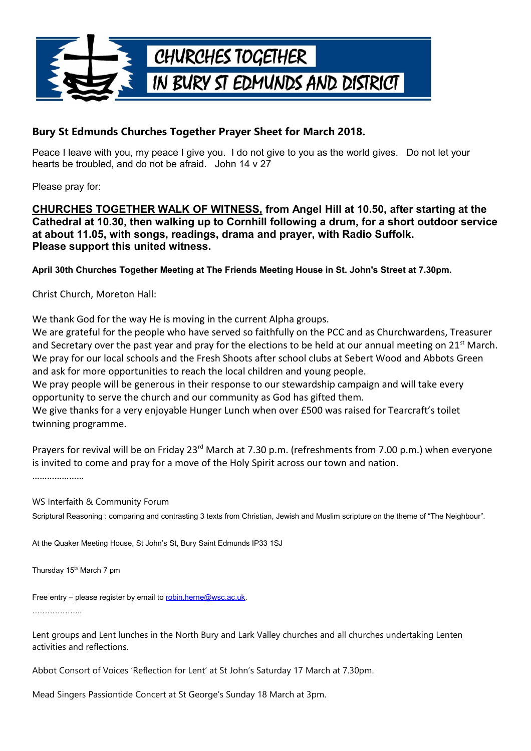

## **Bury St Edmunds Churches Together Prayer Sheet for March 2018.**

Peace I leave with you, my peace I give you. I do not give to you as the world gives. Do not let your hearts be troubled, and do not be afraid. John 14 v 27

Please pray for:

## **CHURCHES TOGETHER WALK OF WITNESS, from Angel Hill at 10.50, after starting at the Cathedral at 10.30, then walking up to Cornhill following a drum, for a short outdoor service at about 11.05, with songs, readings, drama and prayer, with Radio Suffolk. Please support this united witness.**

**April 30th Churches Together Meeting at The Friends Meeting House in St. John's Street at 7.30pm.**

Christ Church, Moreton Hall:

We thank God for the way He is moving in the current Alpha groups.

We are grateful for the people who have served so faithfully on the PCC and as Churchwardens, Treasurer and Secretary over the past year and pray for the elections to be held at our annual meeting on  $21^{st}$  March. We pray for our local schools and the Fresh Shoots after school clubs at Sebert Wood and Abbots Green and ask for more opportunities to reach the local children and young people.

We pray people will be generous in their response to our stewardship campaign and will take every opportunity to serve the church and our community as God has gifted them.

We give thanks for a very enjoyable Hunger Lunch when over £500 was raised for Tearcraft's toilet twinning programme.

Prayers for revival will be on Friday 23rd March at 7.30 p.m. (refreshments from 7.00 p.m.) when everyone is invited to come and pray for a move of the Holy Spirit across our town and nation.

WS Interfaith & Community Forum

Scriptural Reasoning : comparing and contrasting 3 texts from Christian, Jewish and Muslim scripture on the theme of "The Neighbour".

At the Quaker Meeting House, St John's St, Bury Saint Edmunds IP33 1SJ

Thursday 15<sup>th</sup> March 7 pm

Free entry – please register by email to [robin.herne@wsc.ac.uk.](mailto:robin.herne@wsc.ac.uk) ………………..

Lent groups and Lent lunches in the North Bury and Lark Valley churches and all churches undertaking Lenten activities and reflections.

Abbot Consort of Voices 'Reflection for Lent' at St John's Saturday 17 March at 7.30pm.

Mead Singers Passiontide Concert at St George's Sunday 18 March at 3pm.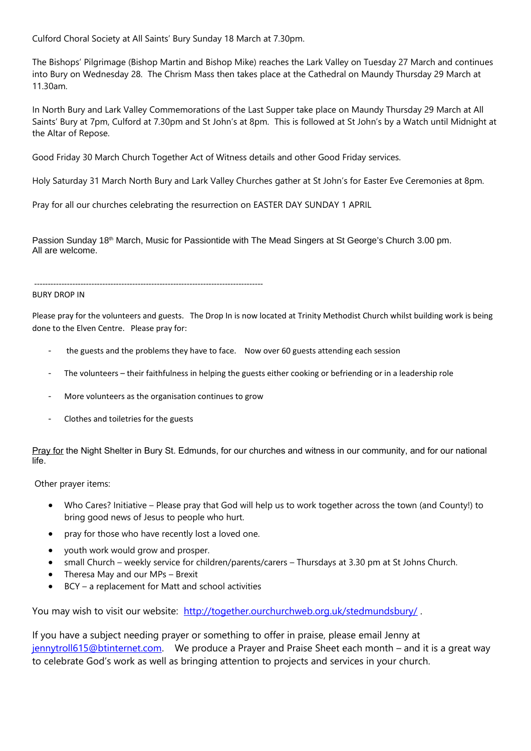Culford Choral Society at All Saints' Bury Sunday 18 March at 7.30pm.

The Bishops' Pilgrimage (Bishop Martin and Bishop Mike) reaches the Lark Valley on Tuesday 27 March and continues into Bury on Wednesday 28. The Chrism Mass then takes place at the Cathedral on Maundy Thursday 29 March at 11.30am.

In North Bury and Lark Valley Commemorations of the Last Supper take place on Maundy Thursday 29 March at All Saints' Bury at 7pm, Culford at 7.30pm and St John's at 8pm. This is followed at St John's by a Watch until Midnight at the Altar of Repose.

Good Friday 30 March Church Together Act of Witness details and other Good Friday services.

Holy Saturday 31 March North Bury and Lark Valley Churches gather at St John's for Easter Eve Ceremonies at 8pm.

Pray for all our churches celebrating the resurrection on EASTER DAY SUNDAY 1 APRIL

Passion Sunday 18<sup>th</sup> March, Music for Passiontide with The Mead Singers at St George's Church 3.00 pm. All are welcome.

------------------------------------------------------------------------------------

## BURY DROP IN

Please pray for the volunteers and guests. The Drop In is now located at Trinity Methodist Church whilst building work is being done to the Elven Centre. Please pray for:

- the guests and the problems they have to face. Now over 60 guests attending each session
- The volunteers their faithfulness in helping the guests either cooking or befriending or in a leadership role
- More volunteers as the organisation continues to grow
- Clothes and toiletries for the guests

Pray for the Night Shelter in Bury St. Edmunds, for our churches and witness in our community, and for our national life.

Other prayer items:

- Who Cares? Initiative Please pray that God will help us to work together across the town (and County!) to bring good news of Jesus to people who hurt.
- pray for those who have recently lost a loved one.
- youth work would grow and prosper.
- small Church weekly service for children/parents/carers Thursdays at 3.30 pm at St Johns Church.
- Theresa May and our MPs Brexit
- BCY a replacement for Matt and school activities

You may wish to visit our website: <http://together.ourchurchweb.org.uk/stedmundsbury/>.

If you have a subject needing prayer or something to offer in praise, please email Jenny at [jennytroll615@btinternet.com.](mailto:jennytroll615@btinternet.com) We produce a Prayer and Praise Sheet each month – and it is a great way to celebrate God's work as well as bringing attention to projects and services in your church.